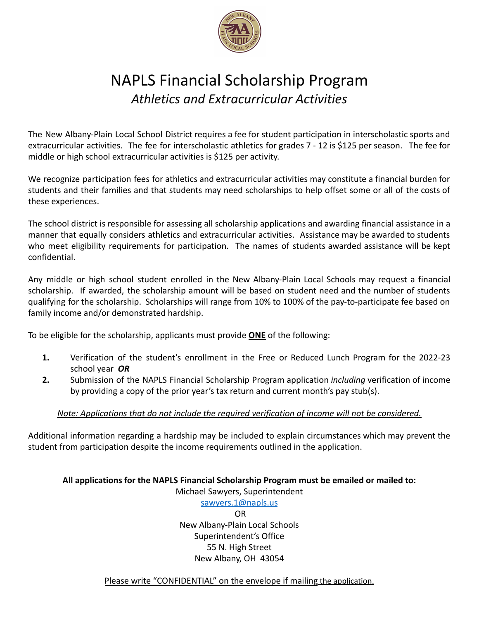

## NAPLS Financial Scholarship Program *Athletics and Extracurricular Activities*

The New Albany-Plain Local School District requires a fee for student participation in interscholastic sports and extracurricular activities. The fee for interscholastic athletics for grades 7 - 12 is \$125 per season. The fee for middle or high school extracurricular activities is \$125 per activity.

We recognize participation fees for athletics and extracurricular activities may constitute a financial burden for students and their families and that students may need scholarships to help offset some or all of the costs of these experiences.

The school district is responsible for assessing all scholarship applications and awarding financial assistance in a manner that equally considers athletics and extracurricular activities. Assistance may be awarded to students who meet eligibility requirements for participation. The names of students awarded assistance will be kept confidential.

Any middle or high school student enrolled in the New Albany-Plain Local Schools may request a financial scholarship. If awarded, the scholarship amount will be based on student need and the number of students qualifying for the scholarship. Scholarships will range from 10% to 100% of the pay-to-participate fee based on family income and/or demonstrated hardship.

To be eligible for the scholarship, applicants must provide **ONE** of the following:

- **1.** Verification of the student's enrollment in the Free or Reduced Lunch Program for the 2022-23 school year *OR*
- **2.** Submission of the NAPLS Financial Scholarship Program application *including* verification of income by providing a copy of the prior year's tax return and current month's pay stub(s).

#### *Note: Applications that do not include the required verification of income will not be considered.*

Additional information regarding a hardship may be included to explain circumstances which may prevent the student from participation despite the income requirements outlined in the application.

#### **All applications for the NAPLS Financial Scholarship Program must be emailed or mailed to:**

Michael Sawyers, Superintendent

[sawyers.1@napls.us](mailto:sawyers.1@napls.us) OR New Albany-Plain Local Schools Superintendent's Office 55 N. High Street New Albany, OH 43054

Please write "CONFIDENTIAL" on the envelope if mailing the application.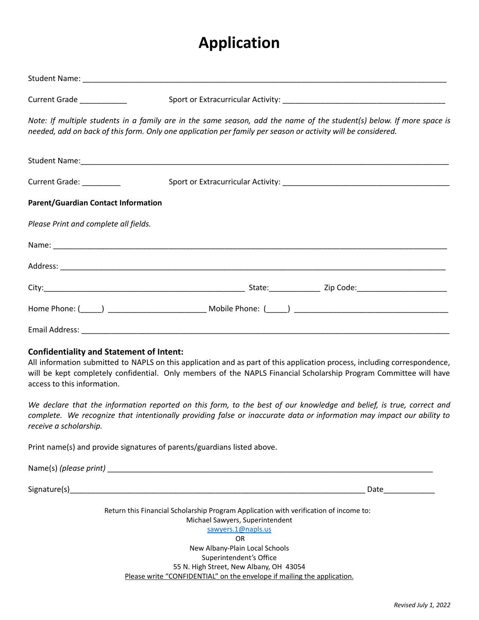# **Application**

| Current Grade __________                                                       |                                                                                                                                                                                                                                                |
|--------------------------------------------------------------------------------|------------------------------------------------------------------------------------------------------------------------------------------------------------------------------------------------------------------------------------------------|
|                                                                                | Note: If multiple students in a family are in the same season, add the name of the student(s) below. If more space is<br>needed, add on back of this form. Only one application per family per season or activity will be considered.          |
|                                                                                |                                                                                                                                                                                                                                                |
| Current Grade: _________                                                       |                                                                                                                                                                                                                                                |
| <b>Parent/Guardian Contact Information</b>                                     |                                                                                                                                                                                                                                                |
| Please Print and complete all fields.                                          |                                                                                                                                                                                                                                                |
|                                                                                |                                                                                                                                                                                                                                                |
|                                                                                |                                                                                                                                                                                                                                                |
|                                                                                |                                                                                                                                                                                                                                                |
|                                                                                |                                                                                                                                                                                                                                                |
|                                                                                |                                                                                                                                                                                                                                                |
| <b>Confidentiality and Statement of Intent:</b><br>access to this information. | All information submitted to NAPLS on this application and as part of this application process, including correspondence,<br>will be kept completely confidential. Only members of the NAPLS Financial Scholarship Program Committee will have |
| receive a scholarship.                                                         | We declare that the information reported on this form, to the best of our knowledge and belief, is true, correct and<br>complete. We recognize that intentionally providing false or inaccurate data or information may impact our ability to  |
| Print name(s) and provide signatures of parents/guardians listed above.        |                                                                                                                                                                                                                                                |
|                                                                                |                                                                                                                                                                                                                                                |
|                                                                                |                                                                                                                                                                                                                                                |
|                                                                                | Return this Financial Scholarship Program Application with verification of income to:<br>Michael Sawyers, Superintendent<br>sawyers.1@napls.us<br><b>OR</b><br>New Albany-Plain Local Schools<br>Superintendent's Office                       |

55 N. High Street, New Albany, OH 43054 Please write "CONFIDENTIAL" on the envelope if mailing the application.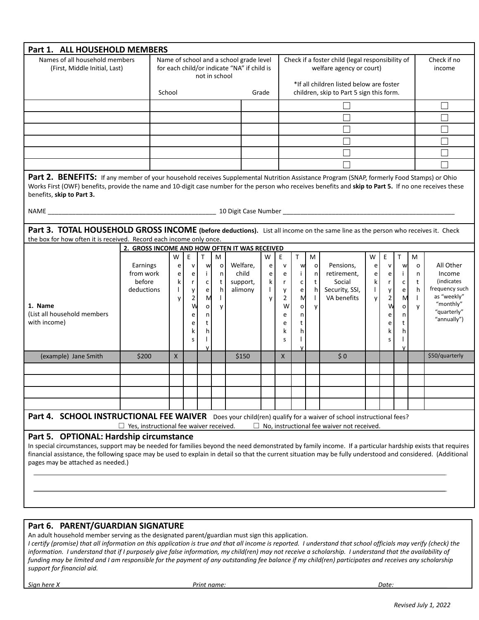| Part 1. ALL HOUSEHOLD MEMBERS                                                                                                                                                                                                                                                                                                                                                                             |                                               |  |                                                                                                                            |                                                                                                            |                                                                           |                                                  |                                                                                           |                                                  |                                                                          |                                                                                                                                                                      |                                                         |                                                                     |                                       |                                                                  |                                                                             |                                                              |                                                                                                               |
|-----------------------------------------------------------------------------------------------------------------------------------------------------------------------------------------------------------------------------------------------------------------------------------------------------------------------------------------------------------------------------------------------------------|-----------------------------------------------|--|----------------------------------------------------------------------------------------------------------------------------|------------------------------------------------------------------------------------------------------------|---------------------------------------------------------------------------|--------------------------------------------------|-------------------------------------------------------------------------------------------|--------------------------------------------------|--------------------------------------------------------------------------|----------------------------------------------------------------------------------------------------------------------------------------------------------------------|---------------------------------------------------------|---------------------------------------------------------------------|---------------------------------------|------------------------------------------------------------------|-----------------------------------------------------------------------------|--------------------------------------------------------------|---------------------------------------------------------------------------------------------------------------|
| Names of all household members<br>(First, Middle Initial, Last)                                                                                                                                                                                                                                                                                                                                           |                                               |  | Name of school and a school grade level<br>for each child/or indicate "NA" if child is<br>not in school<br>School<br>Grade |                                                                                                            |                                                                           |                                                  |                                                                                           |                                                  |                                                                          | Check if a foster child (legal responsibility of<br>welfare agency or court)<br>*If all children listed below are foster<br>children, skip to Part 5 sign this form. |                                                         |                                                                     |                                       |                                                                  | Check if no<br>income                                                       |                                                              |                                                                                                               |
|                                                                                                                                                                                                                                                                                                                                                                                                           |                                               |  |                                                                                                                            |                                                                                                            |                                                                           |                                                  |                                                                                           |                                                  |                                                                          |                                                                                                                                                                      |                                                         |                                                                     |                                       |                                                                  |                                                                             |                                                              |                                                                                                               |
|                                                                                                                                                                                                                                                                                                                                                                                                           |                                               |  |                                                                                                                            |                                                                                                            |                                                                           |                                                  |                                                                                           |                                                  |                                                                          |                                                                                                                                                                      |                                                         |                                                                     |                                       |                                                                  |                                                                             |                                                              |                                                                                                               |
|                                                                                                                                                                                                                                                                                                                                                                                                           |                                               |  |                                                                                                                            |                                                                                                            |                                                                           |                                                  |                                                                                           |                                                  |                                                                          |                                                                                                                                                                      |                                                         |                                                                     |                                       |                                                                  |                                                                             |                                                              |                                                                                                               |
|                                                                                                                                                                                                                                                                                                                                                                                                           |                                               |  |                                                                                                                            |                                                                                                            |                                                                           |                                                  |                                                                                           |                                                  |                                                                          |                                                                                                                                                                      |                                                         |                                                                     |                                       |                                                                  |                                                                             |                                                              |                                                                                                               |
|                                                                                                                                                                                                                                                                                                                                                                                                           |                                               |  |                                                                                                                            |                                                                                                            |                                                                           |                                                  |                                                                                           |                                                  |                                                                          |                                                                                                                                                                      |                                                         |                                                                     |                                       |                                                                  |                                                                             |                                                              |                                                                                                               |
|                                                                                                                                                                                                                                                                                                                                                                                                           |                                               |  |                                                                                                                            |                                                                                                            |                                                                           |                                                  |                                                                                           |                                                  |                                                                          |                                                                                                                                                                      |                                                         |                                                                     |                                       |                                                                  |                                                                             |                                                              |                                                                                                               |
| Part 2. BENEFITS: If any member of your household receives Supplemental Nutrition Assistance Program (SNAP, formerly Food Stamps) or Ohio<br>Works First (OWF) benefits, provide the name and 10-digit case number for the person who receives benefits and skip to Part 5. If no one receives these<br>benefits, skip to Part 3.                                                                         |                                               |  |                                                                                                                            |                                                                                                            |                                                                           |                                                  |                                                                                           |                                                  |                                                                          |                                                                                                                                                                      |                                                         |                                                                     |                                       |                                                                  |                                                                             |                                                              |                                                                                                               |
| Part 3. TOTAL HOUSEHOLD GROSS INCOME (before deductions). List all income on the same line as the person who receives it. Check<br>the box for how often it is received. Record each income only once.                                                                                                                                                                                                    |                                               |  |                                                                                                                            |                                                                                                            |                                                                           |                                                  |                                                                                           |                                                  |                                                                          |                                                                                                                                                                      |                                                         |                                                                     |                                       |                                                                  |                                                                             |                                                              |                                                                                                               |
| 1. Name<br>(List all household members<br>with income)                                                                                                                                                                                                                                                                                                                                                    | Earnings<br>from work<br>before<br>deductions |  | W<br>e<br>e<br>k<br>$\mathbf{L}$<br>y                                                                                      | $\mathsf E$<br>${\sf v}$<br>e  <br>$\mathsf{r}$<br>$\mathsf{y}$<br>$\overline{2}$<br>W<br>e<br>e<br>k<br>S | T<br>w<br>$\mathbf{i}$<br>$\mathsf{C}$<br>e<br>M<br>o<br>n<br>t<br>h<br>٧ | M<br>$\circ$<br>n<br>t<br>h<br>$\mathbf{I}$<br>y | 2. GROSS INCOME AND HOW OFTEN IT WAS RECEIVED<br>Welfare,<br>child<br>support,<br>alimony | W<br>e<br>e<br>$\mathsf{k}$<br>$\mathbf{L}$<br>y | E<br>${\sf v}$<br>e<br>r<br>y<br>$\overline{2}$<br>W<br>e<br>e<br>k<br>S | $\mathsf{T}$<br>w<br>j.<br>$\mathsf{C}$<br>e<br>м<br>$\circ$<br>n<br>t<br>h<br>٧                                                                                     | М<br>$\mathsf{o}\,$<br>n<br>t<br>h<br>$\mathbf{I}$<br>y | Pensions,<br>retirement,<br>Social<br>Security, SSI,<br>VA benefits | W<br>e<br>e<br>k<br>$\mathbf{I}$<br>y | E<br>v<br>e<br>r<br>y<br>$\overline{2}$<br>W<br>e<br>e<br>k<br>S | $\mathsf{T}$<br>W<br>j.<br>$\mathsf{C}$<br>e<br>M<br>$\circ$<br>n<br>t<br>h | М<br>$\mathsf{o}\xspace$<br>n<br>t<br>h<br>$\mathbf{I}$<br>y | All Other<br>Income<br>(indicates<br>frequency such<br>as "weekly"<br>"monthly"<br>"quarterly"<br>"annually") |
| (example) Jane Smith                                                                                                                                                                                                                                                                                                                                                                                      | \$200                                         |  | $\mathsf{X}$                                                                                                               |                                                                                                            |                                                                           |                                                  | \$150                                                                                     |                                                  | X.                                                                       |                                                                                                                                                                      |                                                         | \$0                                                                 |                                       |                                                                  |                                                                             |                                                              | \$50/quarterly                                                                                                |
|                                                                                                                                                                                                                                                                                                                                                                                                           |                                               |  |                                                                                                                            |                                                                                                            |                                                                           |                                                  |                                                                                           |                                                  |                                                                          |                                                                                                                                                                      |                                                         |                                                                     |                                       |                                                                  |                                                                             |                                                              |                                                                                                               |
|                                                                                                                                                                                                                                                                                                                                                                                                           |                                               |  |                                                                                                                            |                                                                                                            |                                                                           |                                                  |                                                                                           |                                                  |                                                                          |                                                                                                                                                                      |                                                         |                                                                     |                                       |                                                                  |                                                                             |                                                              |                                                                                                               |
|                                                                                                                                                                                                                                                                                                                                                                                                           |                                               |  |                                                                                                                            |                                                                                                            |                                                                           |                                                  |                                                                                           |                                                  |                                                                          |                                                                                                                                                                      |                                                         |                                                                     |                                       |                                                                  |                                                                             |                                                              |                                                                                                               |
|                                                                                                                                                                                                                                                                                                                                                                                                           |                                               |  |                                                                                                                            |                                                                                                            |                                                                           |                                                  |                                                                                           |                                                  |                                                                          |                                                                                                                                                                      |                                                         |                                                                     |                                       |                                                                  |                                                                             |                                                              |                                                                                                               |
| Part 4. SCHOOL INSTRUCTIONAL FEE WAIVER Does your child(ren) qualify for a waiver of school instructional fees?<br>$\Box$ Yes, instructional fee waiver received.<br>$\Box$ No, instructional fee waiver not received.                                                                                                                                                                                    |                                               |  |                                                                                                                            |                                                                                                            |                                                                           |                                                  |                                                                                           |                                                  |                                                                          |                                                                                                                                                                      |                                                         |                                                                     |                                       |                                                                  |                                                                             |                                                              |                                                                                                               |
| Part 5. OPTIONAL: Hardship circumstance<br>In special circumstances, support may be needed for families beyond the need demonstrated by family income. If a particular hardship exists that requires<br>financial assistance, the following space may be used to explain in detail so that the current situation may be fully understood and considered. (Additional<br>pages may be attached as needed.) |                                               |  |                                                                                                                            |                                                                                                            |                                                                           |                                                  |                                                                                           |                                                  |                                                                          |                                                                                                                                                                      |                                                         |                                                                     |                                       |                                                                  |                                                                             |                                                              |                                                                                                               |
| Part 6. PARENT/GUARDIAN SIGNATURE<br>$\mu$                                                                                                                                                                                                                                                                                                                                                                |                                               |  |                                                                                                                            |                                                                                                            |                                                                           |                                                  |                                                                                           |                                                  |                                                                          |                                                                                                                                                                      |                                                         |                                                                     |                                       |                                                                  |                                                                             |                                                              |                                                                                                               |

An adult household member serving as the designated parent/guardian must sign this application. *I certify (promise) that all information on this application is true and that all income is reported. I understand that school officials may verify (check) the information. I understand that if I purposely give false information, my child(ren) may not receive a scholarship. I understand that the availability of funding may be limited and I am responsible for the payment of any outstanding fee balance if my child(ren) participates and receives any scholarship support for financial aid.*

*Sign here X \_\_\_\_\_\_\_\_\_\_\_\_\_\_\_\_\_\_\_\_\_\_\_\_\_\_\_\_\_\_\_\_\_\_\_\_\_ Print name: \_\_\_\_\_\_\_\_\_\_\_\_\_\_\_\_\_\_\_\_\_\_\_\_\_\_\_\_\_\_\_\_\_\_\_\_\_\_\_\_\_\_\_Date: \_\_\_\_\_\_\_\_\_\_\_\_\_\_\_*